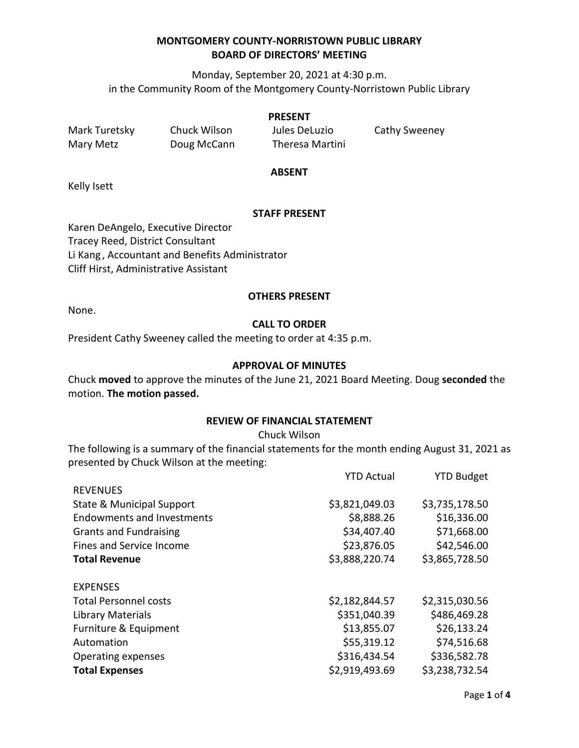Monday, September 20, 2021 at 4:30 p.m. in the Community Room of the Montgomery County-Norristown Public Library

#### **PRESENT**

Mark Turetsky Chuck Wilson Jules DeLuzio Cathy Sweeney Mary Metz **Doug McCann** Theresa Martini

#### **ABSENT**

Kelly Isett

## **STAFF PRESENT**

Karen DeAngelo, Executive Director Tracey Reed, District Consultant Li Kang , Accountant and Benefits Administrator Cliff Hirst, Administrative Assistant

#### **OTHERS PRESENT**

None.

# **CALL TO ORDER**

President Cathy Sweeney called the meeting to order at 4:35 p.m.

## **APPROVAL OF MINUTES**

Chuck **moved** to approve the minutes of the June 21, 2021 Board Meeting. Doug **seconded** the motion. **The motion passed.**

## **REVIEW OF FINANCIAL STATEMENT**

Chuck Wilson

The following is a summary of the financial statements for the month ending August 31, 2021 as presented by Chuck Wilson at the meeting:

|                                   | <b>YTD Actual</b> | <b>YTD Budget</b> |
|-----------------------------------|-------------------|-------------------|
| <b>REVENUES</b>                   |                   |                   |
| State & Municipal Support         | \$3,821,049.03    | \$3,735,178.50    |
| <b>Endowments and Investments</b> | \$8,888.26        | \$16,336.00       |
| <b>Grants and Fundraising</b>     | \$34,407.40       | \$71,668.00       |
| Fines and Service Income          | \$23,876.05       | \$42,546.00       |
| <b>Total Revenue</b>              | \$3,888,220.74    | \$3,865,728.50    |
|                                   |                   |                   |
| <b>EXPENSES</b>                   |                   |                   |
| <b>Total Personnel costs</b>      | \$2,182,844.57    | \$2,315,030.56    |
| Library Materials                 | \$351,040.39      | \$486,469.28      |
| Furniture & Equipment             | \$13,855.07       | \$26,133.24       |
| Automation                        | \$55,319.12       | \$74,516.68       |
| Operating expenses                | \$316,434.54      | \$336,582.78      |
| <b>Total Expenses</b>             | \$2,919,493.69    | \$3,238,732.54    |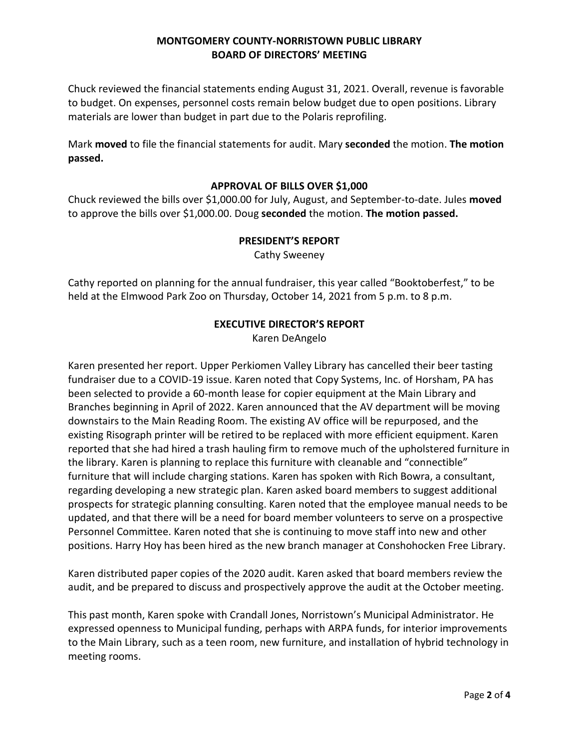Chuck reviewed the financial statements ending August 31, 2021. Overall, revenue is favorable to budget. On expenses, personnel costs remain below budget due to open positions. Library materials are lower than budget in part due to the Polaris reprofiling.

Mark **moved** to file the financial statements for audit. Mary **seconded** the motion. **The motion passed.** 

#### **APPROVAL OF BILLS OVER \$1,000**

Chuck reviewed the bills over \$1,000.00 for July, August, and September-to-date. Jules **moved** to approve the bills over \$1,000.00. Doug **seconded** the motion. **The motion passed.**

#### **PRESIDENT'S REPORT**

Cathy Sweeney

Cathy reported on planning for the annual fundraiser, this year called "Booktoberfest," to be held at the Elmwood Park Zoo on Thursday, October 14, 2021 from 5 p.m. to 8 p.m.

## **EXECUTIVE DIRECTOR'S REPORT** Karen DeAngelo

Karen presented her report. Upper Perkiomen Valley Library has cancelled their beer tasting fundraiser due to a COVID-19 issue. Karen noted that Copy Systems, Inc. of Horsham, PA has been selected to provide a 60-month lease for copier equipment at the Main Library and Branches beginning in April of 2022. Karen announced that the AV department will be moving downstairs to the Main Reading Room. The existing AV office will be repurposed, and the existing Risograph printer will be retired to be replaced with more efficient equipment. Karen reported that she had hired a trash hauling firm to remove much of the upholstered furniture in the library. Karen is planning to replace this furniture with cleanable and "connectible" furniture that will include charging stations. Karen has spoken with Rich Bowra, a consultant, regarding developing a new strategic plan. Karen asked board members to suggest additional prospects for strategic planning consulting. Karen noted that the employee manual needs to be updated, and that there will be a need for board member volunteers to serve on a prospective Personnel Committee. Karen noted that she is continuing to move staff into new and other positions. Harry Hoy has been hired as the new branch manager at Conshohocken Free Library.

Karen distributed paper copies of the 2020 audit. Karen asked that board members review the audit, and be prepared to discuss and prospectively approve the audit at the October meeting.

This past month, Karen spoke with Crandall Jones, Norristown's Municipal Administrator. He expressed openness to Municipal funding, perhaps with ARPA funds, for interior improvements to the Main Library, such as a teen room, new furniture, and installation of hybrid technology in meeting rooms.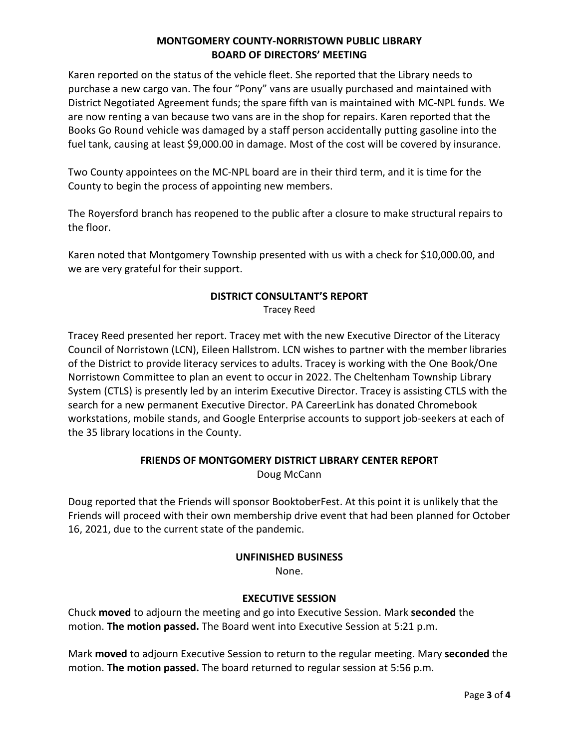Karen reported on the status of the vehicle fleet. She reported that the Library needs to purchase a new cargo van. The four "Pony" vans are usually purchased and maintained with District Negotiated Agreement funds; the spare fifth van is maintained with MC-NPL funds. We are now renting a van because two vans are in the shop for repairs. Karen reported that the Books Go Round vehicle was damaged by a staff person accidentally putting gasoline into the fuel tank, causing at least \$9,000.00 in damage. Most of the cost will be covered by insurance.

Two County appointees on the MC-NPL board are in their third term, and it is time for the County to begin the process of appointing new members.

The Royersford branch has reopened to the public after a closure to make structural repairs to the floor.

Karen noted that Montgomery Township presented with us with a check for \$10,000.00, and we are very grateful for their support.

# **DISTRICT CONSULTANT'S REPORT**

Tracey Reed

Tracey Reed presented her report. Tracey met with the new Executive Director of the Literacy Council of Norristown (LCN), Eileen Hallstrom. LCN wishes to partner with the member libraries of the District to provide literacy services to adults. Tracey is working with the One Book/One Norristown Committee to plan an event to occur in 2022. The Cheltenham Township Library System (CTLS) is presently led by an interim Executive Director. Tracey is assisting CTLS with the search for a new permanent Executive Director. PA CareerLink has donated Chromebook workstations, mobile stands, and Google Enterprise accounts to support job-seekers at each of the 35 library locations in the County.

# **FRIENDS OF MONTGOMERY DISTRICT LIBRARY CENTER REPORT**

Doug McCann

Doug reported that the Friends will sponsor BooktoberFest. At this point it is unlikely that the Friends will proceed with their own membership drive event that had been planned for October 16, 2021, due to the current state of the pandemic.

## **UNFINISHED BUSINESS**

None.

## **EXECUTIVE SESSION**

Chuck **moved** to adjourn the meeting and go into Executive Session. Mark **seconded** the motion. **The motion passed.** The Board went into Executive Session at 5:21 p.m.

Mark **moved** to adjourn Executive Session to return to the regular meeting. Mary **seconded** the motion. **The motion passed.** The board returned to regular session at 5:56 p.m.